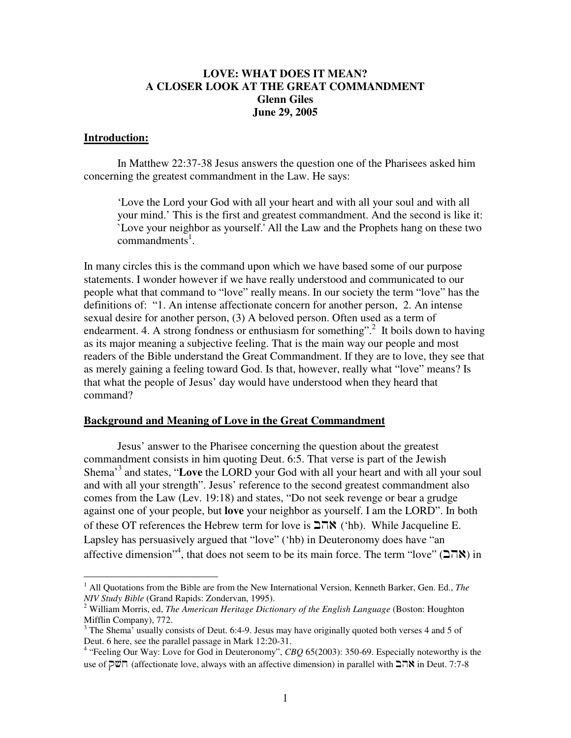## **LOVE: WHAT DOES IT MEAN? A CLOSER LOOK AT THE GREAT COMMANDMENT Glenn Giles June 29, 2005**

## **Introduction:**

In Matthew 22:37-38 Jesus answers the question one of the Pharisees asked him concerning the greatest commandment in the Law. He says:

'Love the Lord your God with all your heart and with all your soul and with all your mind.' This is the first and greatest commandment. And the second is like it: `Love your neighbor as yourself.'All the Law and the Prophets hang on these two commandments<sup>1</sup>.

In many circles this is the command upon which we have based some of our purpose statements. I wonder however if we have really understood and communicated to our people what that command to "love" really means. In our society the term "love" has the definitions of: "1. An intense affectionate concern for another person, 2. An intense sexual desire for another person, (3) A beloved person. Often used as a term of endearment. 4. A strong fondness or enthusiasm for something".<sup>2</sup> It boils down to having as its major meaning a subjective feeling. That is the main way our people and most readers of the Bible understand the Great Commandment. If they are to love, they see that as merely gaining a feeling toward God. Is that, however, really what "love" means? Is that what the people of Jesus' day would have understood when they heard that command?

## **Background and Meaning of Love in the Great Commandment**

Jesus' answer to the Pharisee concerning the question about the greatest commandment consists in him quoting Deut. 6:5. That verse is part of the Jewish Shema' 3 and states, "**Love** the LORD your God with all your heart and with all your soul and with all your strength". Jesus' reference to the second greatest commandment also comes from the Law (Lev. 19:18) and states, "Do not seek revenge or bear a grudge against one of your people, but **love** your neighbor as yourself. I am the LORD". In both of these OT references the Hebrew term for love is  $\Box \Box \land$  ('hb). While Jacqueline E. Lapsley has persuasively argued that "love" ('hb) in Deuteronomy does have "an affective dimension"<sup>4</sup>, that does not seem to be its main force. The term "love" ( $\blacktriangle \sqcap \aleph$ ) in

<sup>1</sup> All Quotations from the Bible are from the New International Version, Kenneth Barker, Gen. Ed., *The NIV Study Bible* (Grand Rapids: Zondervan, 1995).

<sup>2</sup> William Morris, ed, *The American Heritage Dictionary of the English Language* (Boston: Houghton Mifflin Company), 772.

 $3$  The Shema' usually consists of Deut. 6:4-9. Jesus may have originally quoted both verses 4 and 5 of Deut. 6 here, see the parallel passage in Mark 12:20-31.

<sup>&</sup>lt;sup>4</sup> "Feeling Our Way: Love for God in Deuteronomy", *CBQ* 65(2003): 350-69. Especially noteworthy is the use of **חשק)** (affectionate love, always with an affective dimension) in parallel with  $\Box \Box$  in Deut. 7:7-8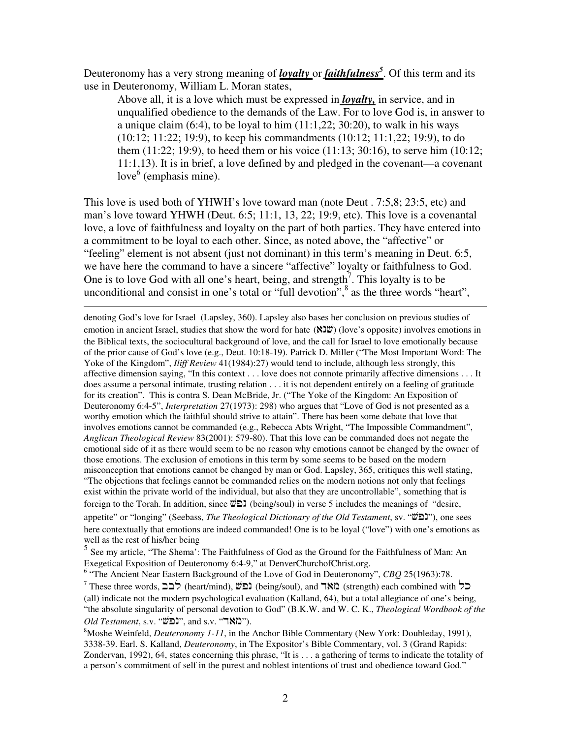Deuteronomy has a very strong meaning of *loyalty* or *faithfulness 5* . Of this term and its use in Deuteronomy, William L. Moran states,

Above all, it is a love which must be expressed in *loyalty,* in service, and in unqualified obedience to the demands of the Law. For to love God is, in answer to a unique claim  $(6:4)$ , to be loyal to him  $(11:1,22; 30:20)$ , to walk in his ways (10:12; 11:22; 19:9), to keep his commandments (10:12; 11:1,22; 19:9), to do them (11:22; 19:9), to heed them or his voice (11:13; 30:16), to serve him (10:12; 11:1,13). It is in brief, a love defined by and pledged in the covenant—a covenant love<sup>6</sup> (emphasis mine).

This love is used both of YHWH's love toward man (note Deut . 7:5,8; 23:5, etc) and man's love toward YHWH (Deut. 6:5; 11:1, 13, 22; 19:9, etc). This love is a covenantal love, a love of faithfulness and loyalty on the part of both parties. They have entered into a commitment to be loyal to each other. Since, as noted above, the "affective" or "feeling" element is not absent (just not dominant) in this term's meaning in Deut. 6:5, we have here the command to have a sincere "affective" loyalty or faithfulness to God. One is to love God with all one's heart, being, and strength<sup>7</sup>. This loyalty is to be unconditional and consist in one's total or "full devotion",<sup>8</sup> as the three words "heart",

denoting God's love for Israel (Lapsley, 360). Lapsley also bases her conclusion on previous studies of emotion in ancient Israel, studies that show the word for hate  $(\aleph 2\ddot{v})$  (love's opposite) involves emotions in the Biblical texts, the sociocultural background of love, and the call for Israel to love emotionally because of the prior cause of God's love (e.g., Deut. 10:18-19). Patrick D. Miller ("The Most Important Word: The Yoke of the Kingdom", *Iliff Review* 41(1984):27) would tend to include, although less strongly, this affective dimension saying, "In this context . . . love does not connote primarily affective dimensions . . . It does assume a personal intimate, trusting relation . . . it is not dependent entirely on a feeling of gratitude for its creation". This is contra S. Dean McBride, Jr. ("The Yoke of the Kingdom: An Exposition of Deuteronomy 6:4-5", *Interpretation* 27(1973): 298) who argues that "Love of God is not presented as a worthy emotion which the faithful should strive to attain". There has been some debate that love that involves emotions cannot be commanded (e.g., Rebecca Abts Wright, "The Impossible Commandment", *Anglican Theological Review* 83(2001): 579-80). That this love can be commanded does not negate the emotional side of it as there would seem to be no reason why emotions cannot be changed by the owner of those emotions. The exclusion of emotions in this term by some seems to be based on the modern misconception that emotions cannot be changed by man or God. Lapsley, 365, critiques this well stating, "The objections that feelings cannot be commanded relies on the modern notions not only that feelings exist within the private world of the individual, but also that they are uncontrollable", something that is foreign to the Torah. In addition, since  $\ddot{\omega}$   $\ddot{\omega}$  (being/soul) in verse 5 includes the meanings of "desire, appetite" or "longing" (Seebass, *The Theological Dictionary of the Old Testament*, sv. " "), one sees here contextually that emotions are indeed commanded! One is to be loyal ("love") with one's emotions as well as the rest of his/her being

5 See my article, "The Shema': The Faithfulness of God as the Ground for the Faithfulness of Man: An Exegetical Exposition of Deuteronomy 6:4-9," at DenverChurchofChrist.org.

6 "The Ancient Near Eastern Background of the Love of God in Deuteronomy", *CBQ* 25(1963):78.  $^7$  These three words,  $\sum \frac{1}{n}$  (heart/mind),  $\overline{w}$  (being/soul), and  $\sum$  (strength) each combined with  $\sum$ (all) indicate not the modern psychological evaluation (Kalland, 64), but a total allegiance of one's being, "the absolute singularity of personal devotion to God" (B.K.W. and W. C. K., *Theological Wordbook of the*  $Old Testament$ , s.v. "במאר"), and s.v. "ר $\mathcal{C}$ ").

<sup>8</sup>Moshe Weinfeld, *Deuteronomy 1-11*, in the Anchor Bible Commentary (New York: Doubleday, 1991), 3338-39. Earl. S. Kalland, *Deuteronomy*, in The Expositor's Bible Commentary, vol. 3 (Grand Rapids: Zondervan, 1992), 64, states concerning this phrase, "It is . . . a gathering of terms to indicate the totality of a person's commitment of self in the purest and noblest intentions of trust and obedience toward God."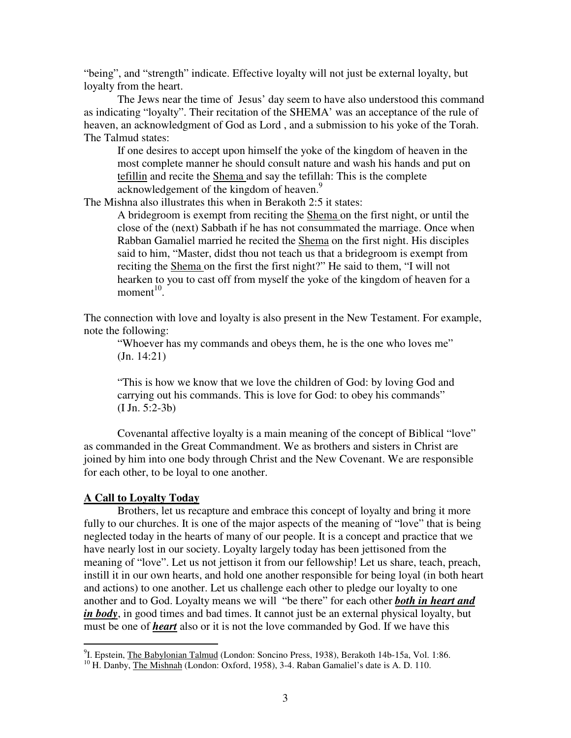"being", and "strength" indicate. Effective loyalty will not just be external loyalty, but loyalty from the heart.

The Jews near the time of Jesus' day seem to have also understood this command as indicating "loyalty". Their recitation of the SHEMA' was an acceptance of the rule of heaven, an acknowledgment of God as Lord , and a submission to his yoke of the Torah. The Talmud states:

If one desires to accept upon himself the yoke of the kingdom of heaven in the most complete manner he should consult nature and wash his hands and put on tefillin and recite the Shema and say the tefillah: This is the complete  $\overline{\text{acknowledgement}}$  of the kingdom of heaven.<sup>9</sup>

The Mishna also illustrates this when in Berakoth 2:5 it states:

A bridegroom is exempt from reciting the Shema on the first night, or until the close of the (next) Sabbath if he has not consummated the marriage. Once when Rabban Gamaliel married he recited the Shema on the first night. His disciples said to him, "Master, didst thou not teach us that a bridegroom is exempt from reciting the Shema on the first the first night?" He said to them, "I will not hearken to you to cast off from myself the yoke of the kingdom of heaven for a moment<sup>10</sup>.

The connection with love and loyalty is also present in the New Testament. For example, note the following:

"Whoever has my commands and obeys them, he is the one who loves me" (Jn. 14:21)

"This is how we know that we love the children of God: by loving God and carrying out his commands. This is love for God: to obey his commands" (I Jn. 5:2-3b)

Covenantal affective loyalty is a main meaning of the concept of Biblical "love" as commanded in the Great Commandment. We as brothers and sisters in Christ are joined by him into one body through Christ and the New Covenant. We are responsible for each other, to be loyal to one another.

## **A Call to Loyalty Today**

Brothers, let us recapture and embrace this concept of loyalty and bring it more fully to our churches. It is one of the major aspects of the meaning of "love" that is being neglected today in the hearts of many of our people. It is a concept and practice that we have nearly lost in our society. Loyalty largely today has been jettisoned from the meaning of "love". Let us not jettison it from our fellowship! Let us share, teach, preach, instill it in our own hearts, and hold one another responsible for being loyal (in both heart and actions) to one another. Let us challenge each other to pledge our loyalty to one another and to God. Loyalty means we will "be there" for each other *both in heart and in body*, in good times and bad times. It cannot just be an external physical loyalty, but must be one of *heart* also or it is not the love commanded by God. If we have this

<sup>&</sup>lt;sup>9</sup>I. Epstein, The Babylonian Talmud (London: Soncino Press, 1938), Berakoth 14b-15a, Vol. 1:86.

<sup>&</sup>lt;sup>10</sup> H. Danby, *The Mishnah* (London: Oxford, 1958), 3-4. Raban Gamaliel's date is A. D. 110.